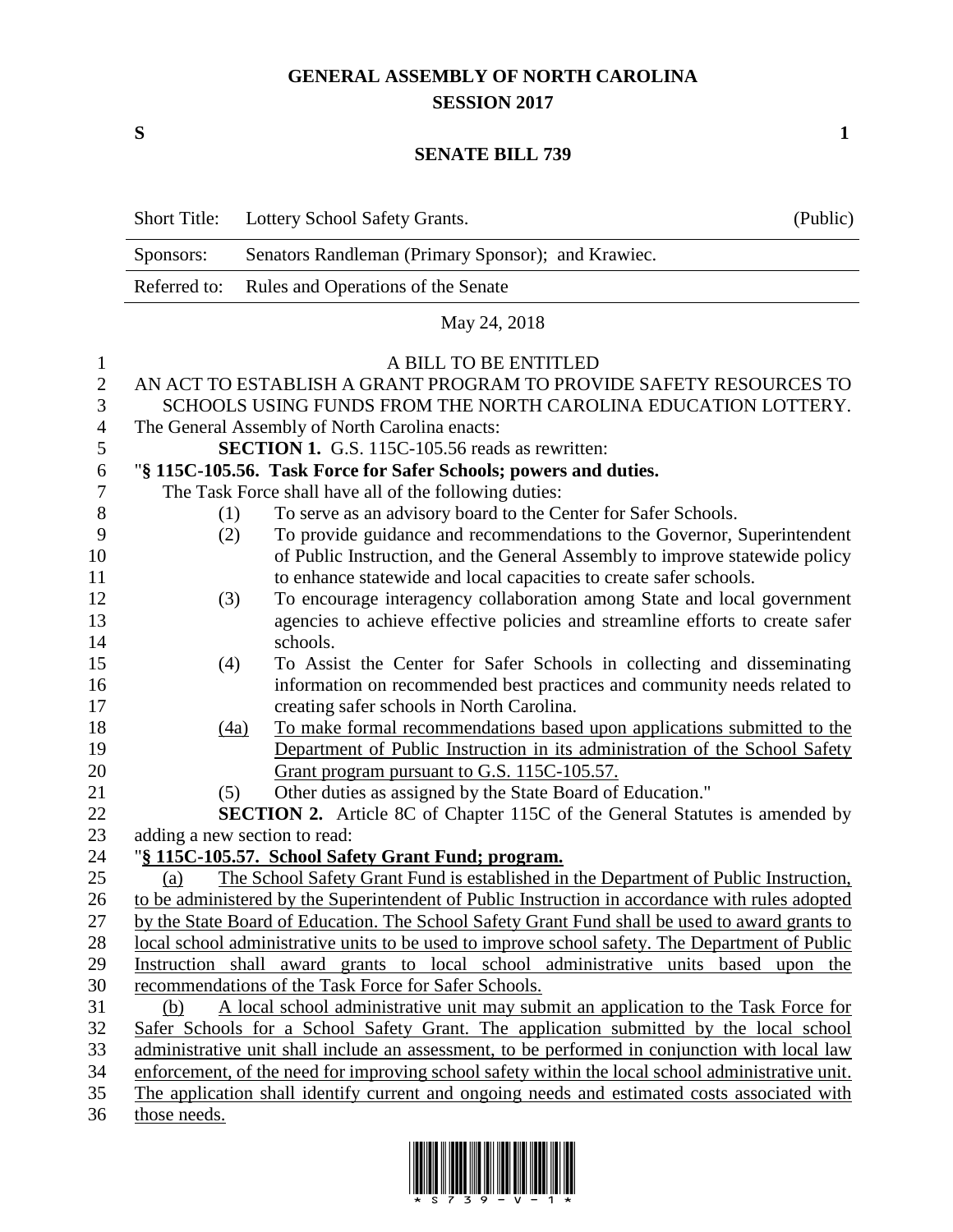## **GENERAL ASSEMBLY OF NORTH CAROLINA SESSION 2017**

**S 1**

## **SENATE BILL 739**

|                   | <b>Short Title:</b>                                                                               | Lottery School Safety Grants.                                                        | (Public) |  |  |
|-------------------|---------------------------------------------------------------------------------------------------|--------------------------------------------------------------------------------------|----------|--|--|
|                   | Sponsors:                                                                                         | Senators Randleman (Primary Sponsor); and Krawiec.                                   |          |  |  |
|                   | Referred to:                                                                                      | Rules and Operations of the Senate                                                   |          |  |  |
|                   |                                                                                                   | May 24, 2018                                                                         |          |  |  |
|                   |                                                                                                   | A BILL TO BE ENTITLED                                                                |          |  |  |
| 1<br>$\mathbf{2}$ | AN ACT TO ESTABLISH A GRANT PROGRAM TO PROVIDE SAFETY RESOURCES TO                                |                                                                                      |          |  |  |
| 3                 | SCHOOLS USING FUNDS FROM THE NORTH CAROLINA EDUCATION LOTTERY.                                    |                                                                                      |          |  |  |
| 4                 | The General Assembly of North Carolina enacts:                                                    |                                                                                      |          |  |  |
| 5                 | <b>SECTION 1.</b> G.S. 115C-105.56 reads as rewritten:                                            |                                                                                      |          |  |  |
| 6                 | "§ 115C-105.56. Task Force for Safer Schools; powers and duties.                                  |                                                                                      |          |  |  |
| 7                 | The Task Force shall have all of the following duties:                                            |                                                                                      |          |  |  |
| 8                 | (1)                                                                                               | To serve as an advisory board to the Center for Safer Schools.                       |          |  |  |
| 9                 | (2)                                                                                               | To provide guidance and recommendations to the Governor, Superintendent              |          |  |  |
| 10                |                                                                                                   | of Public Instruction, and the General Assembly to improve statewide policy          |          |  |  |
| 11                |                                                                                                   | to enhance statewide and local capacities to create safer schools.                   |          |  |  |
| 12                | (3)                                                                                               | To encourage interagency collaboration among State and local government              |          |  |  |
| 13                |                                                                                                   | agencies to achieve effective policies and streamline efforts to create safer        |          |  |  |
| 14                |                                                                                                   | schools.                                                                             |          |  |  |
| 15                | (4)                                                                                               | To Assist the Center for Safer Schools in collecting and disseminating               |          |  |  |
| 16                |                                                                                                   | information on recommended best practices and community needs related to             |          |  |  |
| 17                |                                                                                                   | creating safer schools in North Carolina.                                            |          |  |  |
| 18                | (4a)                                                                                              | To make formal recommendations based upon applications submitted to the              |          |  |  |
| 19                |                                                                                                   | Department of Public Instruction in its administration of the School Safety          |          |  |  |
| 20                |                                                                                                   | Grant program pursuant to G.S. 115C-105.57.                                          |          |  |  |
| 21                | (5)                                                                                               | Other duties as assigned by the State Board of Education."                           |          |  |  |
| 22                | <b>SECTION 2.</b> Article 8C of Chapter 115C of the General Statutes is amended by                |                                                                                      |          |  |  |
| 23                | adding a new section to read:                                                                     |                                                                                      |          |  |  |
| 24                | "§ 115C-105.57. School Safety Grant Fund; program.                                                |                                                                                      |          |  |  |
| 25                | (a)                                                                                               | The School Safety Grant Fund is established in the Department of Public Instruction, |          |  |  |
| 26                | to be administered by the Superintendent of Public Instruction in accordance with rules adopted   |                                                                                      |          |  |  |
| 27                | by the State Board of Education. The School Safety Grant Fund shall be used to award grants to    |                                                                                      |          |  |  |
| 28                | local school administrative units to be used to improve school safety. The Department of Public   |                                                                                      |          |  |  |
| 29                | Instruction shall award grants to local school administrative units based upon the                |                                                                                      |          |  |  |
| 30                | recommendations of the Task Force for Safer Schools.                                              |                                                                                      |          |  |  |
| 31                | A local school administrative unit may submit an application to the Task Force for<br>(b)         |                                                                                      |          |  |  |
| 32                | Safer Schools for a School Safety Grant. The application submitted by the local school            |                                                                                      |          |  |  |
| 33                | administrative unit shall include an assessment, to be performed in conjunction with local law    |                                                                                      |          |  |  |
| 34                | enforcement, of the need for improving school safety within the local school administrative unit. |                                                                                      |          |  |  |
| 35                | The application shall identify current and ongoing needs and estimated costs associated with      |                                                                                      |          |  |  |
| 36                | those needs.                                                                                      |                                                                                      |          |  |  |